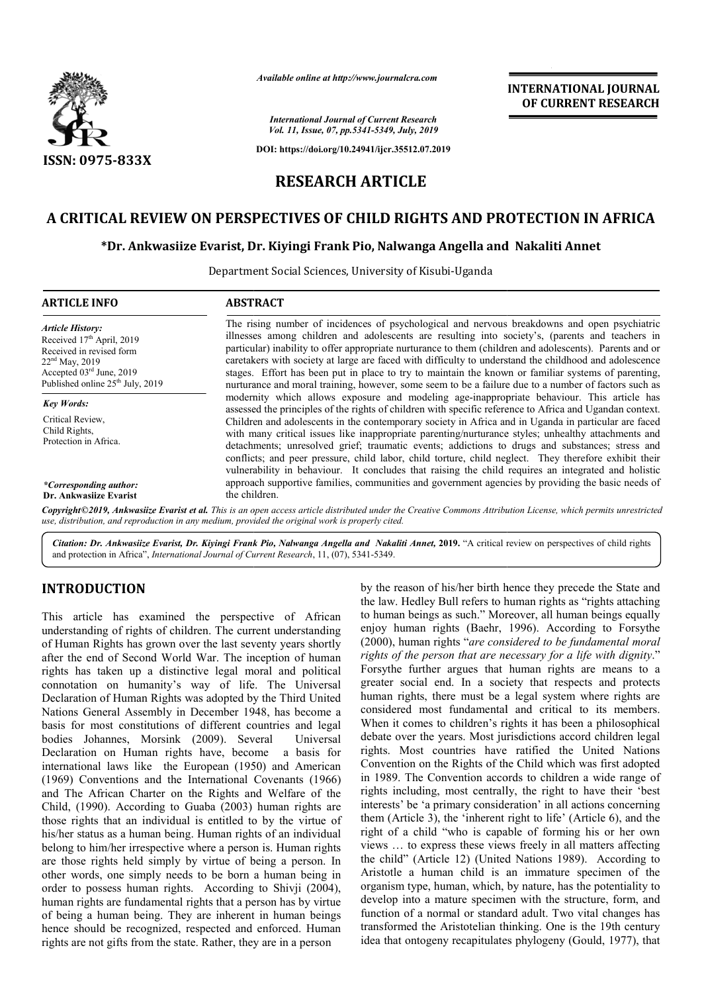

*Available online at http://www.journalcra.com*

*International Journal of Current Research Vol. 11, Issue, 07, pp.5341-5349, July, 2019*

**DOI: https://doi.org/10.24941/ijcr.35512.07.2019**

# **INTERNATIONAL JOURNAL OF CURRENT RESEARCH**

# **RESEARCH ARTICLE**

# A CRITICAL REVIEW ON PERSPECTIVES OF CHILD RIGHTS AND PROTECTION IN AFRICA<br>Dr. Ankwasiize Evarist, Dr. Kiyingi Frank Pio, Nalwanga Angella and Nakaliti Annet\*

# **\*Dr. Ankwasiize Evarist, Dr. Kiyingi Frank Pio Pio, Nalwanga Angella and**

Department Social Sciences, University of Kisubi-Uganda

| <b>ARTICLE INFO</b>                                                                                                                                                                | <b>ABSTRACT</b>                                                                                                                                                                                                                                                                                                                                                                                                                                                                                                                                                                                                                            |
|------------------------------------------------------------------------------------------------------------------------------------------------------------------------------------|--------------------------------------------------------------------------------------------------------------------------------------------------------------------------------------------------------------------------------------------------------------------------------------------------------------------------------------------------------------------------------------------------------------------------------------------------------------------------------------------------------------------------------------------------------------------------------------------------------------------------------------------|
| <b>Article History:</b><br>Received $17th$ April, 2019<br>Received in revised form<br>$22nd$ May, 2019<br>Accepted 03rd June, 2019<br>Published online 25 <sup>th</sup> July, 2019 | The rising number of incidences of psychological and nervous breakdowns and open psychiatric<br>illnesses among children and adolescents are resulting into society's, (parents and teachers in<br>particular) inability to offer appropriate nurturance to them (children and adolescents). Parents and or<br>caretakers with society at large are faced with difficulty to understand the childhood and adolescence<br>stages. Effort has been put in place to try to maintain the known or familiar systems of parenting,<br>nurturance and moral training, however, some seem to be a failure due to a number of factors such as       |
| <b>Key Words:</b>                                                                                                                                                                  | modernity which allows exposure and modeling age-inappropriate behaviour. This article has                                                                                                                                                                                                                                                                                                                                                                                                                                                                                                                                                 |
| Critical Review.<br>Child Rights,<br>Protection in Africa.                                                                                                                         | assessed the principles of the rights of children with specific reference to Africa and Ugandan context.<br>Children and adolescents in the contemporary society in Africa and in Uganda in particular are faced<br>with many critical issues like inappropriate parenting/nurturance styles; unhealthy attachments and<br>detachments; unresolved grief; traumatic events; addictions to drugs and substances; stress and<br>conflicts; and peer pressure, child labor, child torture, child neglect. They therefore exhibit their<br>vulnerability in behaviour. It concludes that raising the child requires an integrated and holistic |
| *Corresponding author:                                                                                                                                                             | approach supportive families, communities and government agencies by providing the basic needs of<br>the children.                                                                                                                                                                                                                                                                                                                                                                                                                                                                                                                         |
| Dr. Ankwasiize Evarist                                                                                                                                                             | Copyright©2019, Ankwasiize Evarist et al. This is an open access article distributed under the Creative Commons Attribution License, which permits unrestricted                                                                                                                                                                                                                                                                                                                                                                                                                                                                            |

*use, distribution, and reproduction in any medium, provided the original work is properly cited.*

Citation: Dr. Ankwasiize Evarist, Dr. Kiyingi Frank Pio, Nalwanga Angella and Nakaliti Annet, 2019. "A critical review on perspectives of child rights and protection in Africa", *International Journal of Current Research* , 11, (07), 5341-5349.

# **INTRODUCTION**

This article has examined the perspective of African understanding of rights of children. The current understanding of Human Rights has grown over the last seventy years shortly after the end of Second World War. The inception of human rights has taken up a distinctive legal moral and political connotation on humanity's way of life. The Universal Declaration of Human Rights was adopted by the Third United Nations General Assembly in December 1948, has become a basis for most constitutions of different countries and legal bodies Johannes, Morsink (2009). Several Universal Declaration on Human rights have, become a basis for international laws like the European (1950) and American (1969) Conventions and the International Covenants (1966) and The African Charter on the Rights and Welfare of the Child, (1990). According to Guaba (2003) human rights are those rights that an individual is entitled to by the virtue of his/her status as a human being. Human rights of an individual belong to him/her irrespective where a person is. Human rights are those rights held simply by virtue of being a person. In other words, one simply needs to be born a human b order to possess human rights. According to Shivji (2004), human rights are fundamental rights that a person has by virtue of being a human being. They are inherent in human beings hence should be recognized, respected and enforced. Human rights are not gifts from the state. Rather, they are in a person nnes, Morsink (2009). Several Universal<br>
on Human rights have, become a basis for<br>
laws like the European (1950) and American<br>
entions and the International Covenants (1966)<br>
can Charter on the Rights and Welfare of the<br>
.

**ODUCTION**<br>
by the reason of his/her birth hence they precede the State and<br>
the law. Hedley Bull refers to human rights as "inglis atteaching<br>
arrivice has seventy of African to human rights (Baehr, 1996). According to Fi the law. Hedley Bull refers to human rights as "rights attaching to human beings as such." Moreover, all human beings equally enjoy human rights (Baehr, 1996). According to Forsythe (2000), human rights "*are considered to be fundamental moral rights of the person that are necessary for a life with dignity.*" Forsythe further argues that human rights are means to a greater social end. In a society that respects and protects human rights, there must be a legal system where rights are considered most fundamental and critical to its members. When it comes to children's rights it has been a philosophical debate over the years. Most jurisdictions accord children legal rights. Most countries have ratified the United Nations Convention on the Rights of the Child which was first adopted in 1989. The Convention accords to children a wide range of rights including, most centrally, the right to have their 'best interests' be 'a primary consideration' in all actions concerning them (Article 3), the 'inherent right to life' (Article 6), and the right of a child "who is capable of forming his or her own views … to express these views freely in all matte the child" (Article 12) (United Nations 1989). According to Aristotle a human child is an immature specimen of the organism type, human, which, by nature, has the potentiality to develop into a mature specimen with the structure, form, and function of a normal or standard adult. Two vital changes has transformed the Aristotelian thinking. One is the 19th century idea that ontogeny recapitulates phylogeny (Gould, 1977), that Inis/her birth hence they precede the State Bull refers to human rights as "rights attack" as such." Moreover, all human beings equights (Baehr, 1996). According to Forsy Forsythe further argues that human rights are means to a greater social end. In a society that respects and protects human rights, there must be a legal system where rights are considered most fundamental and critical to i nvention on the Rights of the Child which was first adopted 1989. The Convention accords to children a wide range of hts including, most centrally, the right to have their 'best interests' be 'a primary consideration' in all actions concerning<br>them (Article 3), the 'inherent right to life' (Article 6), and the<br>right of a child "who is capable of forming his or her own<br>views ... to express these vi the child" (Article 12) (United Nations 1989). According to Aristotle a human child is an immature specimen of the organism type, human, which, by nature, has the potentiality to develop into a mature specimen with the str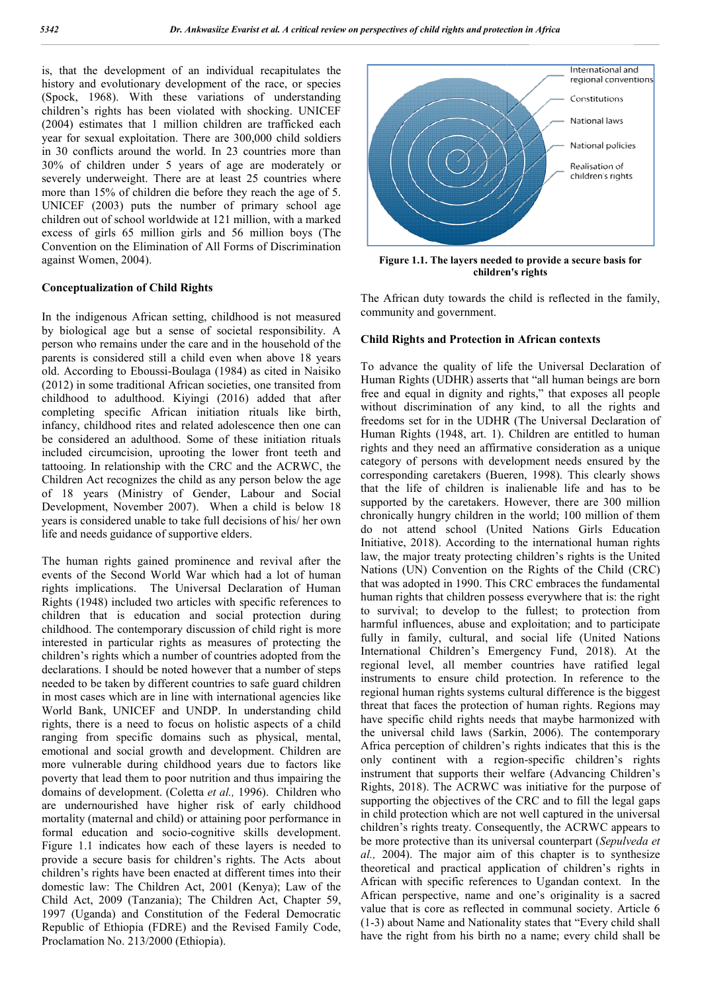is, that the development of an individual recapitulates the history and evolutionary development of the race, or species (Spock, 1968). With these variations of understanding children's rights has been violated with shocking. UNICEF (2004) estimates that 1 million children are trafficked each year for sexual exploitation. There are 300,000 child soldiers in 30 conflicts around the world. In 23 countries more than 30% of children under 5 years of age are moderately or severely underweight. There are at least 25 countries where more than 15% of children die before they reach the age of 5. UNICEF (2003) puts the number of primary school age children out of school worldwide at 121 million, with a marked excess of girls 65 million girls and 56 million boys (The Convention on the Elimination of All Forms of Discrimination against Women, 2004). ). With these variations of understanding<br>tts has been violated with shocking. UNICEF<br>es that 1 million children are trafficked each<br>l exploitation. There are 300,000 child soldiers<br>a round the world. In 23 countries more

#### **Conceptualization of Child Rights**

In the indigenous African setting, childhood is not measured by biological age but a sense of societal responsibility. A person who remains under the care and in the household of the parents is considered still a child even when above 18 years old. According to Eboussi-Boulaga (1984) as cited in Naisiko (2012) in some traditional African societies, one transited from childhood to adulthood. Kiyingi (2016) added that after completing specific African initiation rituals like birth, infancy, childhood rites and related adolescence then one can be considered an adulthood. Some of these initiation rituals included circumcision, uprooting the lower front teeth and tattooing. In relationship with the CRC and the AC Children Act recognizes the child as any person below the age of 18 years (Ministry of Gender, Labour and Social Development, November 2007). When a child is below 18 years is considered unable to take full decisions of his/ her own life and needs guidance of supportive elders. Boulaga (1984) as cited in Naisiko<br>African societies, one transited from<br>Kiyingi (2016) added that after<br>can initiation rituals like birth,<br>d related adolescence then one can<br>d. Some of these initiation rituals<br>rooting the

The human rights gained prominence and revival after the events of the Second World War which had a lot of human rights implications. The Universal Declaration of Human Rights (1948) included two articles with specific children that is education and social protection during childhood. The contemporary discussion of child right is more interested in particular rights as measures of protecting the children's rights which a number of countries adopted from the declarations. I should be noted however that a number of steps needed to be taken by different countries to safe guard children in most cases which are in line with international agencies like World Bank, UNICEF and UNDP. In understanding child rights, there is a need to focus on holistic aspects of a child ranging from specific domains such as physical, mental, emotional and social growth and development. Children are more vulnerable during childhood years due to factors like poverty that lead them to poor nutrition and thus impairing the rights, there is a need to focus on holistic aspects of a child<br>ranging from specific domains such as physical, mental,<br>emotional and social growth and development. Children are<br>more vulnerable during childhood years due t are undernourished have higher risk of early childhood mortality (maternal and child) or attaining poor performance in formal education and socio-cognitive skills development. Figure 1.1 indicates how each of these layers is needed to provide a secure basis for children's rights. The Acts about children's rights have been enacted at different times into their domestic law: The Children Act, 2001 (Kenya); Law of the Child Act, 2009 (Tanzania); The Children Act, Chapter 59, 1997 (Uganda) and Constitution of the Federal Democratic Republic of Ethiopia (FDRE) and the Revised Family Code, Proclamation No. 213/2000 (Ethiopia). t, November 2007). When a child is below 18<br>idered unable to take full decisions of his/ her own<br>s guidance of supportive elders.<br>rights gained prominence and revival after the<br>second World War which had a lot of human<br>cat



Figure 1.1. The layers needed to provide a secure basis for **children's rights**

The African duty towards the child is reflected in the family, community and government. The African duty towards the child is reflected in the family,<br>
community and government.<br> **Child Rights and Protection in African contexts**<br>
To advance the quality of life the Universal Declaration of

#### **Child Rights and Protection in African contexts**

Human Rights (UDHR) asserts that "all human beings are born free and equal in dignity and rights," that exposes all people without discrimination of any kind, to all the rights and freedoms set for in the UDHR (The Universal Declaration of Human Rights (1948, art. 1). Children are entitled to human rights and they need an affirmative consideration as a unique category of persons with development needs ensured by the corresponding caretakers (Bueren, 1998). This clearly shows that the life of children is inalienable life and has to be supported by the caretakers. However, there are 300 million chronically hungry children in the world; 100 million of them do not attend school (United Nations Girls Education Initiative, 2018). According to the international human rights law, the major treaty protecting children's rights is the United Nations (UN) Convention on the Rights of the Child (CRC) that was adopted in 1990. This CRC embraces the fundamental human rights that children possess everywhere that is: the right to survival; to develop to the fullest; to protection from harmful influences, abuse and exploitation; and to participate fully in family, cultural, and social life (United Nations International Children's Emergency Fund, 2018). At the regional level, all member countries have ratified legal instruments to ensure child protection. In reference to the regional human rights systems cultural difference is the biggest instruments to ensure child protection. In reference to the regional human rights systems cultural difference is the biggest threat that faces the protection of human rights. Regions may have specific child rights needs that maybe harmonized with the universal child laws (Sarkin, 2006). The contemporary Africa perception of children's rights indicates that this is the Africa perception of children's rights indicates that this is the only continent with a region-specific children's rights instrument that supports their welfare (Advancing Children's Rights, 2018). The ACRWC was initiative for the purpose of supporting the objectives of the CRC and to fill the legal gaps in child protection which are not well captured in the universal Rights, 2018). The ACRWC was initiative for the purpose of supporting the objectives of the CRC and to fill the legal gaps in child protection which are not well captured in the universal children's rights treaty. Conseque be more protective than its universal counterpart (Sepulveda et *al.,* 2004). The major aim of this chapter is to synthesize theoretical and practical application of children's rights in African with specific references to Ugandan context. In the African perspective, name and one's originality is a sacred value that is core as reflected in communal society. Article 6 (1-3) about Name and Nationality states that "Every child shall have the right from his birth no a name; every child shall be UDHR) asserts that "all human beings are born<br>in dignity and rights," that exposes all people<br>nination of any kind, to all the rights and<br>or in the UDHR (The Universal Declaration of<br>(1948, art. 1). Children are entitled t rights and they need an affirmative consideration as a unique category of persons with development needs ensured by the corresponding caretakers (Bueren, 1998). This clearly shows that the life of children is inalienable l major treaty protecting children's rights is the United (UN) Convention on the Rights of the Child (CRC) adopted in 1990. This CRC embraces the fundamental ghts that children possess everywhere that is: the right survival; to develop to the fullest; to protection from mful influences, abuse and exploitation; and to participate y in family, cultural, and social life (United Nations this chapter is to synthesize<br>ation of children's rights in<br>to Ugandan context. In the prociives of children and protection in Africa<br>
neutralies and protection in Africa<br>
constitutions<br>
Figure 1.1. The layers needed to provide a secure basis for<br>
Figure 1.1. The layers needed to provide a secure basis for<br>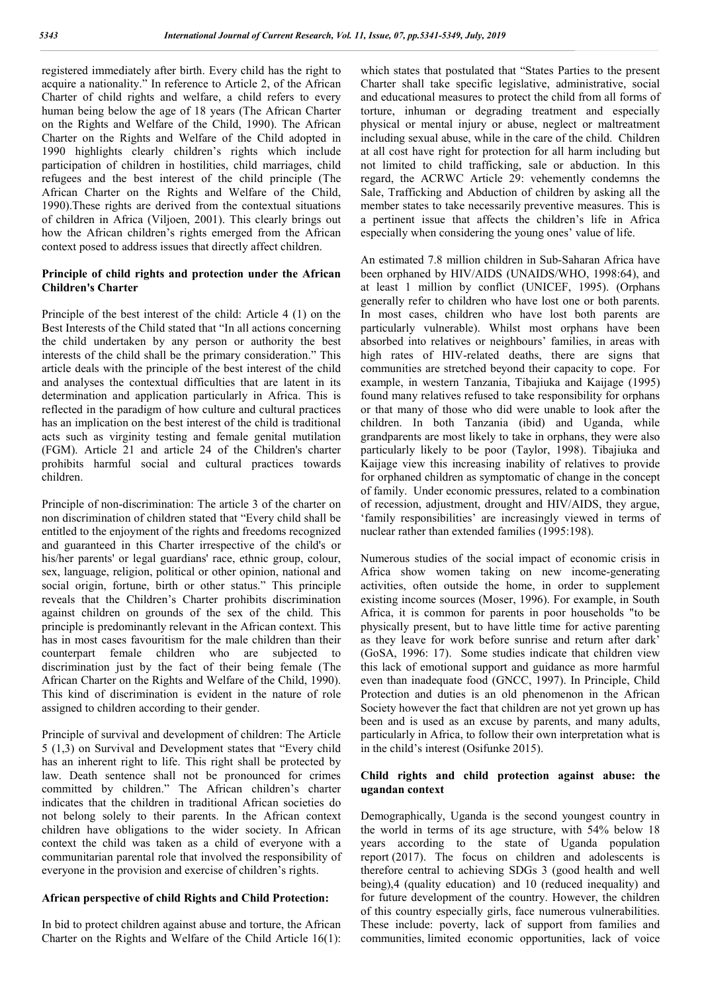registered immediately after birth. Every child has the right to acquire a nationality." In reference to Article 2, of the African Charter of child rights and welfare, a child refers to every human being below the age of 18 years (The African Charter on the Rights and Welfare of the Child, 1990). The African Charter on the Rights and Welfare of the Child adopted in 1990 highlights clearly children's rights which include participation of children in hostilities, child marriages, child refugees and the best interest of the child principle (The African Charter on the Rights and Welfare of the Child, 1990).These rights are derived from the contextual situations of children in Africa (Viljoen, 2001). This clearly brings out how the African children's rights emerged from the African context posed to address issues that directly affect children.

# **Principle of child rights and protection under the African Children's Charter**

Principle of the best interest of the child: Article 4 (1) on the Best Interests of the Child stated that "In all actions concerning the child undertaken by any person or authority the best interests of the child shall be the primary consideration." This article deals with the principle of the best interest of the child and analyses the contextual difficulties that are latent in its determination and application particularly in Africa. This is reflected in the paradigm of how culture and cultural practices has an implication on the best interest of the child is traditional acts such as virginity testing and female genital mutilation (FGM). Article 21 and article 24 of the Children's charter prohibits harmful social and cultural practices towards children.

Principle of non-discrimination: The article 3 of the charter on non discrimination of children stated that "Every child shall be entitled to the enjoyment of the rights and freedoms recognized and guaranteed in this Charter irrespective of the child's or his/her parents' or legal guardians' race, ethnic group, colour, sex, language, religion, political or other opinion, national and social origin, fortune, birth or other status." This principle reveals that the Children's Charter prohibits discrimination against children on grounds of the sex of the child. This principle is predominantly relevant in the African context. This has in most cases favouritism for the male children than their counterpart female children who are subjected to discrimination just by the fact of their being female (The African Charter on the Rights and Welfare of the Child, 1990). This kind of discrimination is evident in the nature of role assigned to children according to their gender.

Principle of survival and development of children: The Article 5 (1,3) on Survival and Development states that "Every child has an inherent right to life. This right shall be protected by law. Death sentence shall not be pronounced for crimes committed by children." The African children's charter indicates that the children in traditional African societies do not belong solely to their parents. In the African context children have obligations to the wider society. In African context the child was taken as a child of everyone with a communitarian parental role that involved the responsibility of everyone in the provision and exercise of children's rights.

# **African perspective of child Rights and Child Protection:**

In bid to protect children against abuse and torture, the African Charter on the Rights and Welfare of the Child Article 16(1): which states that postulated that "States Parties to the present Charter shall take specific legislative, administrative, social and educational measures to protect the child from all forms of torture, inhuman or degrading treatment and especially physical or mental injury or abuse, neglect or maltreatment including sexual abuse, while in the care of the child. Children at all cost have right for protection for all harm including but not limited to child trafficking, sale or abduction. In this regard, the ACRWC Article 29: vehemently condemns the Sale, Trafficking and Abduction of children by asking all the member states to take necessarily preventive measures. This is a pertinent issue that affects the children's life in Africa especially when considering the young ones' value of life.

An estimated 7.8 million children in Sub-Saharan Africa have been orphaned by HIV/AIDS (UNAIDS/WHO, 1998:64), and at least 1 million by conflict (UNICEF, 1995). (Orphans generally refer to children who have lost one or both parents. In most cases, children who have lost both parents are particularly vulnerable). Whilst most orphans have been absorbed into relatives or neighbours' families, in areas with high rates of HIV-related deaths, there are signs that communities are stretched beyond their capacity to cope. For example, in western Tanzania, Tibajiuka and Kaijage (1995) found many relatives refused to take responsibility for orphans or that many of those who did were unable to look after the children. In both Tanzania (ibid) and Uganda, while grandparents are most likely to take in orphans, they were also particularly likely to be poor (Taylor, 1998). Tibajiuka and Kaijage view this increasing inability of relatives to provide for orphaned children as symptomatic of change in the concept of family. Under economic pressures, related to a combination of recession, adjustment, drought and HIV/AIDS, they argue, 'family responsibilities' are increasingly viewed in terms of nuclear rather than extended families (1995:198).

Numerous studies of the social impact of economic crisis in Africa show women taking on new income-generating activities, often outside the home, in order to supplement existing income sources (Moser, 1996). For example, in South Africa, it is common for parents in poor households "to be physically present, but to have little time for active parenting as they leave for work before sunrise and return after dark' (GoSA, 1996: 17). Some studies indicate that children view this lack of emotional support and guidance as more harmful even than inadequate food (GNCC, 1997). In Principle, Child Protection and duties is an old phenomenon in the African Society however the fact that children are not yet grown up has been and is used as an excuse by parents, and many adults, particularly in Africa, to follow their own interpretation what is in the child's interest (Osifunke 2015).

## **Child rights and child protection against abuse: the ugandan context**

Demographically, Uganda is the second youngest country in the world in terms of its age structure, with 54% below 18 years according to the state of Uganda population report (2017). The focus on children and adolescents is therefore central to achieving SDGs 3 (good health and well being),4 (quality education) and 10 (reduced inequality) and for future development of the country. However, the children of this country especially girls, face numerous vulnerabilities. These include: poverty, lack of support from families and communities, limited economic opportunities, lack of voice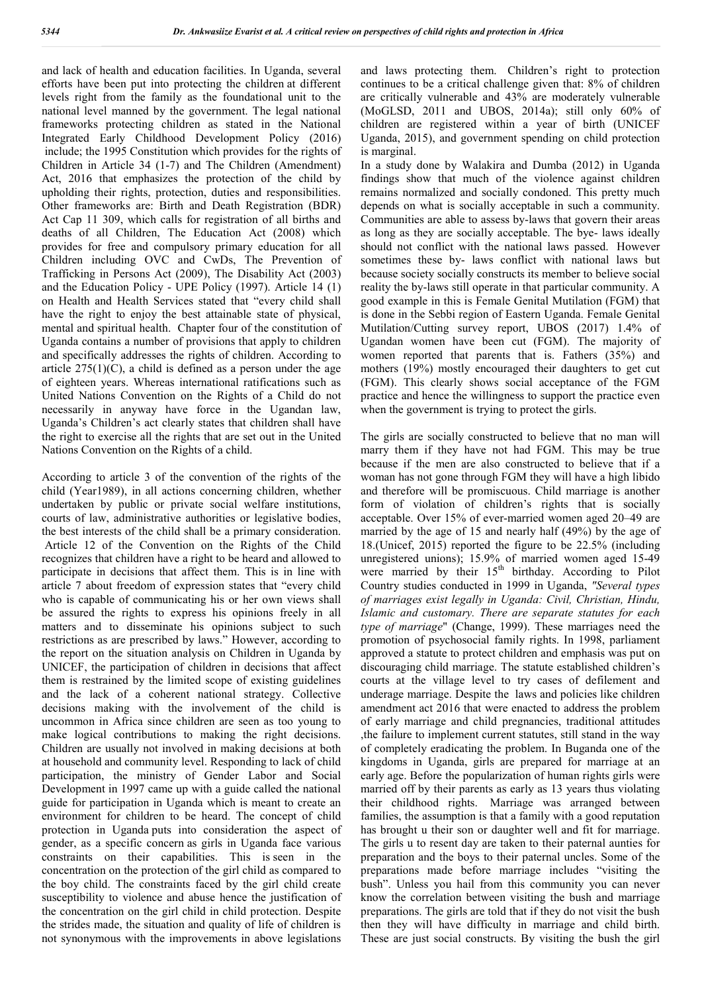and lack of health and education facilities. In Uganda, several efforts have been put into protecting the children at different levels right from the family as the foundational unit to the national level manned by the government. The legal national frameworks protecting children as stated in the National Integrated Early Childhood Development Policy (2016) include; the 1995 Constitution which provides for the rights of Children in Article 34 (1-7) and The Children (Amendment) Act, 2016 that emphasizes the protection of the child by upholding their rights, protection, duties and responsibilities. Other frameworks are: Birth and Death Registration (BDR) Act Cap 11 309, which calls for registration of all births and deaths of all Children, The Education Act (2008) which provides for free and compulsory primary education for all Children including OVC and CwDs, The Prevention of Trafficking in Persons Act (2009), The Disability Act (2003) and the Education Policy - UPE Policy (1997). Article 14 (1) on Health and Health Services stated that "every child shall have the right to enjoy the best attainable state of physical, mental and spiritual health. Chapter four of the constitution of Uganda contains a number of provisions that apply to children and specifically addresses the rights of children. According to article  $275(1)(C)$ , a child is defined as a person under the age of eighteen years. Whereas international ratifications such as United Nations Convention on the Rights of a Child do not necessarily in anyway have force in the Ugandan law, Uganda's Children's act clearly states that children shall have the right to exercise all the rights that are set out in the United Nations Convention on the Rights of a child.

According to article 3 of the convention of the rights of the child (Year1989), in all actions concerning children, whether undertaken by public or private social welfare institutions, courts of law, administrative authorities or legislative bodies, the best interests of the child shall be a primary consideration. Article 12 of the Convention on the Rights of the Child recognizes that children have a right to be heard and allowed to participate in decisions that affect them. This is in line with article 7 about freedom of expression states that "every child who is capable of communicating his or her own views shall be assured the rights to express his opinions freely in all matters and to disseminate his opinions subject to such restrictions as are prescribed by laws." However, according to the report on the situation analysis on Children in Uganda by UNICEF, the participation of children in decisions that affect them is restrained by the limited scope of existing guidelines and the lack of a coherent national strategy. Collective decisions making with the involvement of the child is uncommon in Africa since children are seen as too young to make logical contributions to making the right decisions. Children are usually not involved in making decisions at both at household and community level. Responding to lack of child participation, the ministry of Gender Labor and Social Development in 1997 came up with a guide called the national guide for participation in Uganda which is meant to create an environment for children to be heard. The concept of child protection in Uganda puts into consideration the aspect of gender, as a specific concern as girls in Uganda face various constraints on their capabilities. This is seen in the concentration on the protection of the girl child as compared to the boy child. The constraints faced by the girl child create susceptibility to violence and abuse hence the justification of the concentration on the girl child in child protection. Despite the strides made, the situation and quality of life of children is not synonymous with the improvements in above legislations

and laws protecting them. Children's right to protection continues to be a critical challenge given that: 8% of children are critically vulnerable and 43% are moderately vulnerable (MoGLSD, 2011 and UBOS, 2014a); still only 60% of children are registered within a year of birth (UNICEF Uganda, 2015), and government spending on child protection is marginal.

In a study done by Walakira and Dumba (2012) in Uganda findings show that much of the violence against children remains normalized and socially condoned. This pretty much depends on what is socially acceptable in such a community. Communities are able to assess by-laws that govern their areas as long as they are socially acceptable. The bye- laws ideally should not conflict with the national laws passed. However sometimes these by- laws conflict with national laws but because society socially constructs its member to believe social reality the by-laws still operate in that particular community. A good example in this is Female Genital Mutilation (FGM) that is done in the Sebbi region of Eastern Uganda. Female Genital Mutilation/Cutting survey report, UBOS (2017) 1.4% of Ugandan women have been cut (FGM). The majority of women reported that parents that is. Fathers (35%) and mothers (19%) mostly encouraged their daughters to get cut (FGM). This clearly shows social acceptance of the FGM practice and hence the willingness to support the practice even when the government is trying to protect the girls.

The girls are socially constructed to believe that no man will marry them if they have not had FGM. This may be true because if the men are also constructed to believe that if a woman has not gone through FGM they will have a high libido and therefore will be promiscuous. Child marriage is another form of violation of children's rights that is socially acceptable. Over 15% of ever-married women aged 20–49 are married by the age of 15 and nearly half (49%) by the age of 18.(Unicef, 2015) reported the figure to be 22.5% (including unregistered unions); 15.9% of married women aged 15-49 were married by their  $15<sup>th</sup>$  birthday. According to Pilot Country studies conducted in 1999 in Uganda, *"Several types of marriages exist legally in Uganda: Civil, Christian, Hindu, Islamic and customary. There are separate statutes for each type of marriage*" (Change, 1999). These marriages need the promotion of psychosocial family rights. In 1998, parliament approved a statute to protect children and emphasis was put on discouraging child marriage. The statute established children's courts at the village level to try cases of defilement and underage marriage. Despite the laws and policies like children amendment act 2016 that were enacted to address the problem of early marriage and child pregnancies, traditional attitudes ,the failure to implement current statutes, still stand in the way of completely eradicating the problem. In Buganda one of the kingdoms in Uganda, girls are prepared for marriage at an early age. Before the popularization of human rights girls were married off by their parents as early as 13 years thus violating their childhood rights. Marriage was arranged between families, the assumption is that a family with a good reputation has brought u their son or daughter well and fit for marriage. The girls u to resent day are taken to their paternal aunties for preparation and the boys to their paternal uncles. Some of the preparations made before marriage includes "visiting the bush". Unless you hail from this community you can never know the correlation between visiting the bush and marriage preparations. The girls are told that if they do not visit the bush then they will have difficulty in marriage and child birth. These are just social constructs. By visiting the bush the girl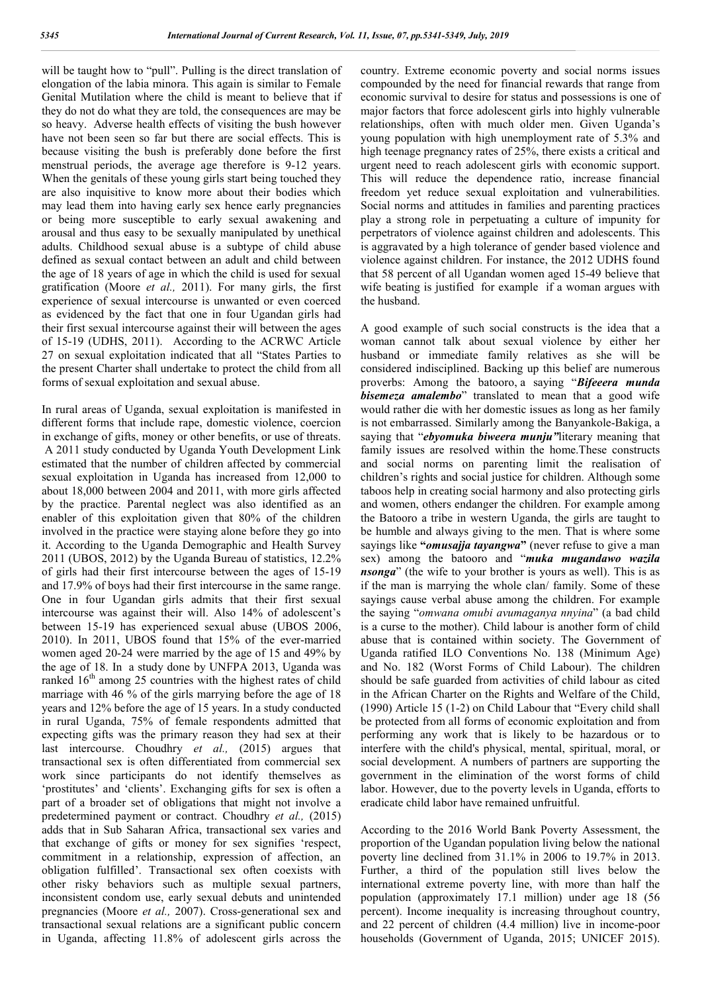will be taught how to "pull". Pulling is the direct translation of elongation of the labia minora. This again is similar to Female Genital Mutilation where the child is meant to believe that if they do not do what they are told, the consequences are may be so heavy. Adverse health effects of visiting the bush however have not been seen so far but there are social effects. This is because visiting the bush is preferably done before the first menstrual periods, the average age therefore is 9-12 years. When the genitals of these young girls start being touched they are also inquisitive to know more about their bodies which may lead them into having early sex hence early pregnancies or being more susceptible to early sexual awakening and arousal and thus easy to be sexually manipulated by unethical adults. Childhood sexual abuse is a subtype of child abuse defined as sexual contact between an adult and child between the age of 18 years of age in which the child is used for sexual gratification (Moore *et al.,* 2011). For many girls, the first experience of sexual intercourse is unwanted or even coerced as evidenced by the fact that one in four Ugandan girls had their first sexual intercourse against their will between the ages of 15-19 (UDHS, 2011). According to the ACRWC Article 27 on sexual exploitation indicated that all "States Parties to the present Charter shall undertake to protect the child from all forms of sexual exploitation and sexual abuse.

In rural areas of Uganda, sexual exploitation is manifested in different forms that include rape, domestic violence, coercion in exchange of gifts, money or other benefits, or use of threats. A 2011 study conducted by Uganda Youth Development Link estimated that the number of children affected by commercial sexual exploitation in Uganda has increased from 12,000 to about 18,000 between 2004 and 2011, with more girls affected by the practice. Parental neglect was also identified as an enabler of this exploitation given that 80% of the children involved in the practice were staying alone before they go into it. According to the Uganda Demographic and Health Survey 2011 (UBOS, 2012) by the Uganda Bureau of statistics, 12.2% of girls had their first intercourse between the ages of 15-19 and 17.9% of boys had their first intercourse in the same range. One in four Ugandan girls admits that their first sexual intercourse was against their will. Also 14% of adolescent's between 15-19 has experienced sexual abuse (UBOS 2006, 2010). In 2011, UBOS found that 15% of the ever-married women aged 20-24 were married by the age of 15 and 49% by the age of 18. In a study done by UNFPA 2013, Uganda was ranked  $16<sup>th</sup>$  among 25 countries with the highest rates of child marriage with 46 % of the girls marrying before the age of 18 years and 12% before the age of 15 years. In a study conducted in rural Uganda, 75% of female respondents admitted that expecting gifts was the primary reason they had sex at their last intercourse. Choudhry *et al.,* (2015) argues that transactional sex is often differentiated from commercial sex work since participants do not identify themselves as 'prostitutes' and 'clients'. Exchanging gifts for sex is often a part of a broader set of obligations that might not involve a predetermined payment or contract. Choudhry *et al.,* (2015) adds that in Sub Saharan Africa, transactional sex varies and that exchange of gifts or money for sex signifies 'respect, commitment in a relationship, expression of affection, an obligation fulfilled'. Transactional sex often coexists with other risky behaviors such as multiple sexual partners, inconsistent condom use, early sexual debuts and unintended pregnancies (Moore *et al.,* 2007). Cross-generational sex and transactional sexual relations are a significant public concern in Uganda, affecting 11.8% of adolescent girls across the

country. Extreme economic poverty and social norms issues compounded by the need for financial rewards that range from economic survival to desire for status and possessions is one of major factors that force adolescent girls into highly vulnerable relationships, often with much older men. Given Uganda's young population with high unemployment rate of 5.3% and high teenage pregnancy rates of 25%, there exists a critical and urgent need to reach adolescent girls with economic support. This will reduce the dependence ratio, increase financial freedom yet reduce sexual exploitation and vulnerabilities. Social norms and attitudes in families and parenting practices play a strong role in perpetuating a culture of impunity for perpetrators of violence against children and adolescents. This is aggravated by a high tolerance of gender based violence and violence against children. For instance, the 2012 UDHS found that 58 percent of all Ugandan women aged 15-49 believe that wife beating is justified for example if a woman argues with the husband.

A good example of such social constructs is the idea that a woman cannot talk about sexual violence by either her husband or immediate family relatives as she will be considered indisciplined. Backing up this belief are numerous proverbs: Among the batooro, a saying "*Bifeeera munda bisemeza amalembo*" translated to mean that a good wife would rather die with her domestic issues as long as her family is not embarrassed. Similarly among the Banyankole-Bakiga, a saying that "*ebyomuka biweera munju"*literary meaning that family issues are resolved within the home.These constructs and social norms on parenting limit the realisation of children's rights and social justice for children. Although some taboos help in creating social harmony and also protecting girls and women, others endanger the children. For example among the Batooro a tribe in western Uganda, the girls are taught to be humble and always giving to the men. That is where some sayings like **"***omusajja tayangwa***"** (never refuse to give a man sex) among the batooro and "*muka mugandawo wazila nsonga*" (the wife to your brother is yours as well). This is as if the man is marrying the whole clan/ family. Some of these sayings cause verbal abuse among the children. For example the saying "*omwana omubi avumaganya nnyina*" (a bad child is a curse to the mother). Child labour is another form of child abuse that is contained within society. The Government of Uganda ratified ILO Conventions No. 138 (Minimum Age) and No. 182 (Worst Forms of Child Labour). The children should be safe guarded from activities of child labour as cited in the African Charter on the Rights and Welfare of the Child, (1990) Article 15 (1-2) on Child Labour that "Every child shall be protected from all forms of economic exploitation and from performing any work that is likely to be hazardous or to interfere with the child's physical, mental, spiritual, moral, or social development. A numbers of partners are supporting the government in the elimination of the worst forms of child labor. However, due to the poverty levels in Uganda, efforts to eradicate child labor have remained unfruitful.

According to the 2016 World Bank Poverty Assessment, the proportion of the Ugandan population living below the national poverty line declined from 31.1% in 2006 to 19.7% in 2013. Further, a third of the population still lives below the international extreme poverty line, with more than half the population (approximately 17.1 million) under age 18 (56 percent). Income inequality is increasing throughout country, and 22 percent of children (4.4 million) live in income-poor households (Government of Uganda, 2015; UNICEF 2015).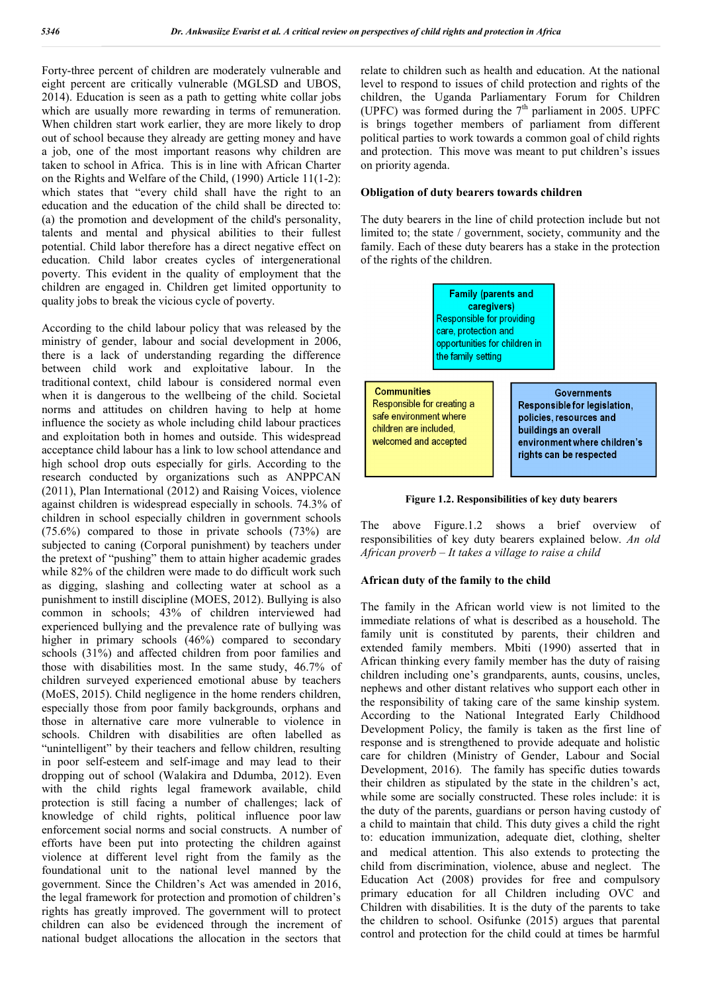Forty-three percent of children are moderately vulnerable and eight percent are critically vulnerable (MGLSD and UBOS, 2014). Education is seen as a path to getting white collar jobs which are usually more rewarding in terms of remuneration. When children start work earlier, they are more likely to drop out of school because they already are getting money and have a job, one of the most important reasons why children are taken to school in Africa. This is in line with African Charter on the Rights and Welfare of the Child, (1990) Article 11(1-2): which states that "every child shall have the right to an education and the education of the child shall be directed to: (a) the promotion and development of the child's personality, talents and mental and physical abilities to their fullest potential. Child labor therefore has a direct negative effect on education. Child labor creates cycles of intergenerational poverty. This evident in the quality of employment that the children are engaged in. Children get limited opportunity to quality jobs to break the vicious cycle of poverty.

According to the child labour policy that was released by the ministry of gender, labour and social development in 2006, there is a lack of understanding regarding the difference between child work and exploitative labour. In the traditional context, child labour is considered normal even when it is dangerous to the wellbeing of the child. Societal norms and attitudes on children having to help at home influence the society as whole including child labour practices and exploitation both in homes and outside. This widespread acceptance child labour has a link to low school attendance and high school drop outs especially for girls. According to the research conducted by organizations such as ANPPCAN (2011), Plan International (2012) and Raising Voices, violence against children is widespread especially in schools. 74.3% of children in school especially children in government schools (75.6%) compared to those in private schools (73%) are subjected to caning (Corporal punishment) by teachers under the pretext of "pushing" them to attain higher academic grades while 82% of the children were made to do difficult work such as digging, slashing and collecting water at school as a punishment to instill discipline (MOES, 2012). Bullying is also common in schools; 43% of children interviewed had experienced bullying and the prevalence rate of bullying was higher in primary schools (46%) compared to secondary schools (31%) and affected children from poor families and those with disabilities most. In the same study, 46.7% of children surveyed experienced emotional abuse by teachers (MoES, 2015). Child negligence in the home renders children, especially those from poor family backgrounds, orphans and those in alternative care more vulnerable to violence in schools. Children with disabilities are often labelled as "unintelligent" by their teachers and fellow children, resulting in poor self-esteem and self-image and may lead to their dropping out of school (Walakira and Ddumba, 2012). Even with the child rights legal framework available, child protection is still facing a number of challenges; lack of knowledge of child rights, political influence poor law enforcement social norms and social constructs. A number of efforts have been put into protecting the children against violence at different level right from the family as the foundational unit to the national level manned by the government. Since the Children's Act was amended in 2016, the legal framework for protection and promotion of children's rights has greatly improved. The government will to protect children can also be evidenced through the increment of national budget allocations the allocation in the sectors that relate to children such as health and education. At the national level to respond to issues of child protection and rights of the children, the Uganda Parliamentary Forum for Children (UPFC) was formed during the  $7<sup>th</sup>$  parliament in 2005. UPFC is brings together members of parliament from different political parties to work towards a common goal of child rights and protection. This move was meant to put children's issues on priority agenda.

#### **Obligation of duty bearers towards children**

The duty bearers in the line of child protection include but not limited to; the state / government, society, community and the family. Each of these duty bearers has a stake in the protection of the rights of the children.

> **Family (parents and** caregivers) **Responsible for providing** care, protection and opportunities for children in the family setting

**Communities** Responsible for creating a safe environment where children are included, welcomed and accepted

**Governments** Responsible for legislation, policies, resources and buildings an overall environment where children's rights can be respected

**Figure 1.2. Responsibilities of key duty bearers**

The above Figure.1.2 shows a brief overview of responsibilities of key duty bearers explained below. *An old African proverb – It takes a village to raise a child*

### **African duty of the family to the child**

The family in the African world view is not limited to the immediate relations of what is described as a household. The family unit is constituted by parents, their children and extended family members. Mbiti (1990) asserted that in African thinking every family member has the duty of raising children including one's grandparents, aunts, cousins, uncles, nephews and other distant relatives who support each other in the responsibility of taking care of the same kinship system. According to the National Integrated Early Childhood Development Policy, the family is taken as the first line of response and is strengthened to provide adequate and holistic care for children (Ministry of Gender, Labour and Social Development, 2016). The family has specific duties towards their children as stipulated by the state in the children's act, while some are socially constructed. These roles include: it is the duty of the parents, guardians or person having custody of a child to maintain that child. This duty gives a child the right to: education immunization, adequate diet, clothing, shelter and medical attention. This also extends to protecting the child from discrimination, violence, abuse and neglect. The Education Act (2008) provides for free and compulsory primary education for all Children including OVC and Children with disabilities. It is the duty of the parents to take the children to school. Osifunke (2015) argues that parental control and protection for the child could at times be harmful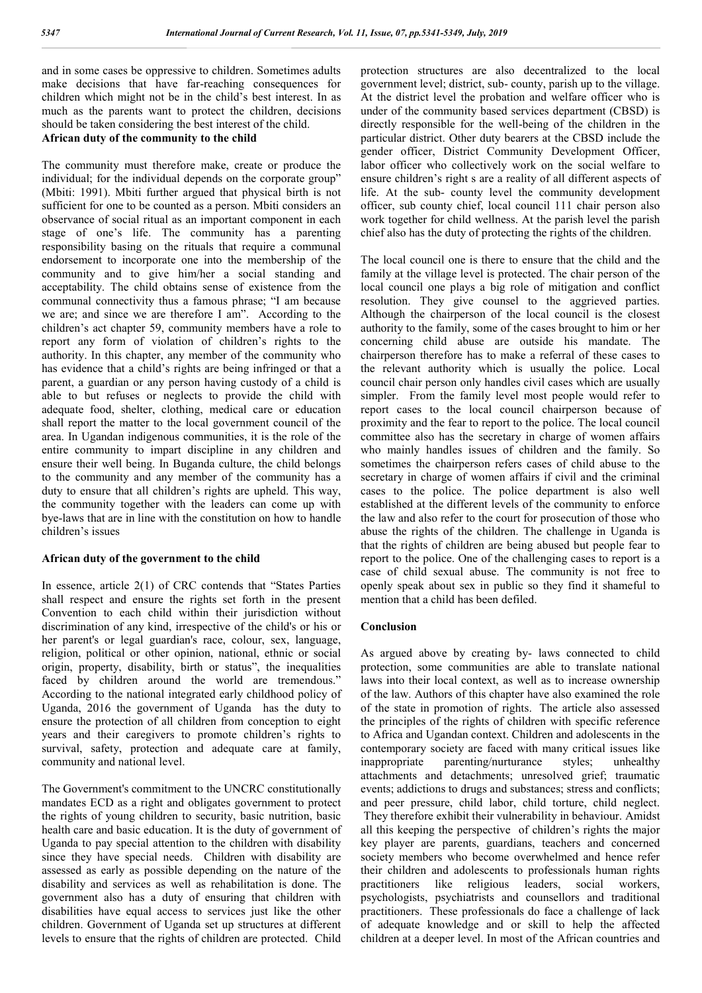and in some cases be oppressive to children. Sometimes adults make decisions that have far-reaching consequences for children which might not be in the child's best interest. In as much as the parents want to protect the children, decisions should be taken considering the best interest of the child.

# **African duty of the community to the child**

The community must therefore make, create or produce the individual; for the individual depends on the corporate group" (Mbiti: 1991). Mbiti further argued that physical birth is not sufficient for one to be counted as a person. Mbiti considers an observance of social ritual as an important component in each stage of one's life. The community has a parenting responsibility basing on the rituals that require a communal endorsement to incorporate one into the membership of the community and to give him/her a social standing and acceptability. The child obtains sense of existence from the communal connectivity thus a famous phrase; "I am because we are; and since we are therefore I am". According to the children's act chapter 59, community members have a role to report any form of violation of children's rights to the authority. In this chapter, any member of the community who has evidence that a child's rights are being infringed or that a parent, a guardian or any person having custody of a child is able to but refuses or neglects to provide the child with adequate food, shelter, clothing, medical care or education shall report the matter to the local government council of the area. In Ugandan indigenous communities, it is the role of the entire community to impart discipline in any children and ensure their well being. In Buganda culture, the child belongs to the community and any member of the community has a duty to ensure that all children's rights are upheld. This way, the community together with the leaders can come up with bye-laws that are in line with the constitution on how to handle children's issues

### **African duty of the government to the child**

In essence, article 2(1) of CRC contends that "States Parties shall respect and ensure the rights set forth in the present Convention to each child within their jurisdiction without discrimination of any kind, irrespective of the child's or his or her parent's or legal guardian's race, colour, sex, language, religion, political or other opinion, national, ethnic or social origin, property, disability, birth or status", the inequalities faced by children around the world are tremendous." According to the national integrated early childhood policy of Uganda, 2016 the government of Uganda has the duty to ensure the protection of all children from conception to eight years and their caregivers to promote children's rights to survival, safety, protection and adequate care at family, community and national level.

The Government's commitment to the UNCRC constitutionally mandates ECD as a right and obligates government to protect the rights of young children to security, basic nutrition, basic health care and basic education. It is the duty of government of Uganda to pay special attention to the children with disability since they have special needs. Children with disability are assessed as early as possible depending on the nature of the disability and services as well as rehabilitation is done. The government also has a duty of ensuring that children with disabilities have equal access to services just like the other children. Government of Uganda set up structures at different levels to ensure that the rights of children are protected. Child

protection structures are also decentralized to the local government level; district, sub- county, parish up to the village. At the district level the probation and welfare officer who is under of the community based services department (CBSD) is directly responsible for the well-being of the children in the particular district. Other duty bearers at the CBSD include the gender officer, District Community Development Officer, labor officer who collectively work on the social welfare to ensure children's right s are a reality of all different aspects of life. At the sub- county level the community development officer, sub county chief, local council 111 chair person also work together for child wellness. At the parish level the parish chief also has the duty of protecting the rights of the children.

The local council one is there to ensure that the child and the family at the village level is protected. The chair person of the local council one plays a big role of mitigation and conflict resolution. They give counsel to the aggrieved parties. Although the chairperson of the local council is the closest authority to the family, some of the cases brought to him or her concerning child abuse are outside his mandate. The chairperson therefore has to make a referral of these cases to the relevant authority which is usually the police. Local council chair person only handles civil cases which are usually simpler. From the family level most people would refer to report cases to the local council chairperson because of proximity and the fear to report to the police. The local council committee also has the secretary in charge of women affairs who mainly handles issues of children and the family. So sometimes the chairperson refers cases of child abuse to the secretary in charge of women affairs if civil and the criminal cases to the police. The police department is also well established at the different levels of the community to enforce the law and also refer to the court for prosecution of those who abuse the rights of the children. The challenge in Uganda is that the rights of children are being abused but people fear to report to the police. One of the challenging cases to report is a case of child sexual abuse. The community is not free to openly speak about sex in public so they find it shameful to mention that a child has been defiled.

### **Conclusion**

As argued above by creating by- laws connected to child protection, some communities are able to translate national laws into their local context, as well as to increase ownership of the law. Authors of this chapter have also examined the role of the state in promotion of rights. The article also assessed the principles of the rights of children with specific reference to Africa and Ugandan context. Children and adolescents in the contemporary society are faced with many critical issues like inappropriate parenting/nurturance styles; unhealthy attachments and detachments; unresolved grief; traumatic events; addictions to drugs and substances; stress and conflicts; and peer pressure, child labor, child torture, child neglect. They therefore exhibit their vulnerability in behaviour. Amidst all this keeping the perspective of children's rights the major key player are parents, guardians, teachers and concerned society members who become overwhelmed and hence refer their children and adolescents to professionals human rights practitioners like religious leaders, social workers, psychologists, psychiatrists and counsellors and traditional practitioners. These professionals do face a challenge of lack of adequate knowledge and or skill to help the affected children at a deeper level. In most of the African countries and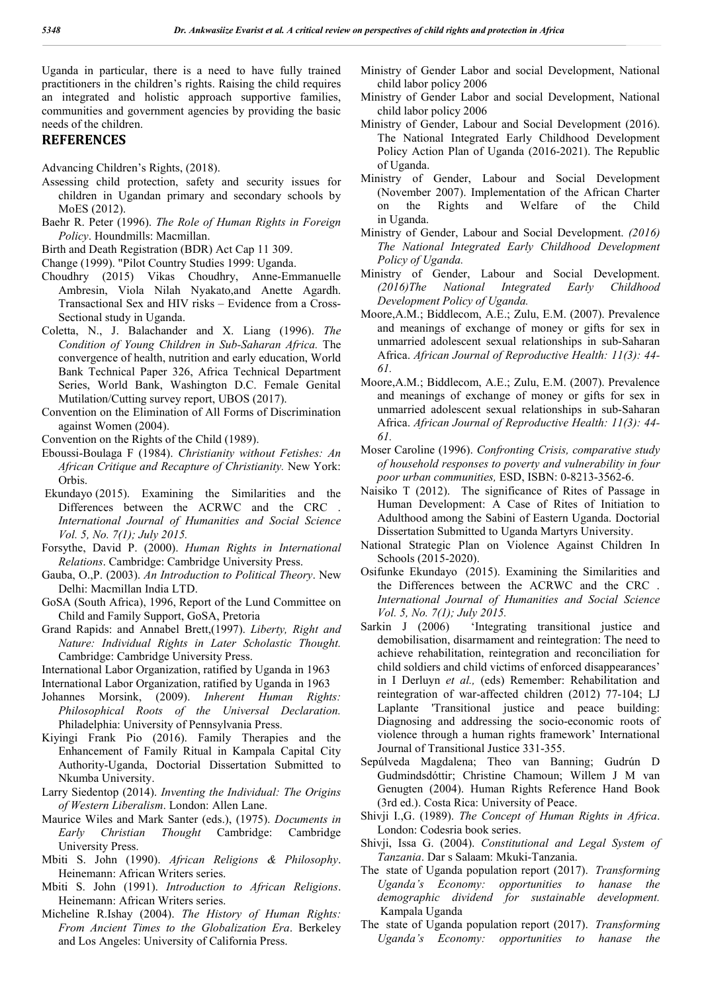Uganda in particular, there is a need to have fully trained practitioners in the children's rights. Raising the child requires an integrated and holistic approach supportive families, communities and government agencies by providing the basic needs of the children.

## **REFERENCES**

- Assessing child protection, safety and security issues for children in Ugandan primary and secondary schools by MoES (2012).
- Baehr R. Peter (1996). *The Role of Human Rights in Foreign Policy*. Houndmills: Macmillan.

Birth and Death Registration (BDR) Act Cap 11 309.

Change (1999). "Pilot Country Studies 1999: Uganda.

- Choudhry (2015) Vikas Choudhry, Anne-Emmanuelle Ambresin, Viola Nilah Nyakato,and Anette Agardh. Transactional Sex and HIV risks – Evidence from a Cross-Sectional study in Uganda.
- Coletta, N., J. Balachander and X. Liang (1996). *The Condition of Young Children in Sub-Saharan Africa.* The convergence of health, nutrition and early education, World Bank Technical Paper 326, Africa Technical Department Series, World Bank, Washington D.C. Female Genital Mutilation/Cutting survey report, UBOS (2017).
- Convention on the Elimination of All Forms of Discrimination against Women (2004).
- Convention on the Rights of the Child (1989).
- Eboussi-Boulaga F (1984). *Christianity without Fetishes: An African Critique and Recapture of Christianity.* New York: Orbis.
- Ekundayo (2015). Examining the Similarities and the Differences between the ACRWC and the CRC . *International Journal of Humanities and Social Science Vol. 5, No. 7(1); July 2015.*
- Forsythe, David P. (2000). *Human Rights in International Relations*. Cambridge: Cambridge University Press.
- Gauba, O.,P. (2003). *An Introduction to Political Theory*. New Delhi: Macmillan India LTD.
- GoSA (South Africa), 1996, Report of the Lund Committee on Child and Family Support, GoSA, Pretoria
- Grand Rapids: and Annabel Brett,(1997). *Liberty, Right and Nature: Individual Rights in Later Scholastic Thought.* Cambridge: Cambridge University Press.
- International Labor Organization, ratified by Uganda in 1963

International Labor Organization, ratified by Uganda in 1963

- Johannes Morsink, (2009). *Inherent Human Rights: Philosophical Roots of the Universal Declaration.* Philadelphia: University of Pennsylvania Press.
- Kiyingi Frank Pio (2016). Family Therapies and the Enhancement of Family Ritual in Kampala Capital City Authority-Uganda, Doctorial Dissertation Submitted to Nkumba University.
- Larry Siedentop (2014). *Inventing the Individual: The Origins of Western Liberalism*. London: Allen Lane.
- Maurice Wiles and Mark Santer (eds.), (1975). *Documents in Early Christian Thought* Cambridge: Cambridge University Press.
- Mbiti S. John (1990). *African Religions & Philosophy*. Heinemann: African Writers series.
- Mbiti S. John (1991). *Introduction to African Religions*. Heinemann: African Writers series.
- Micheline R.Ishay (2004). *The History of Human Rights: From Ancient Times to the Globalization Era*. Berkeley and Los Angeles: University of California Press.
- Ministry of Gender Labor and social Development, National child labor policy 2006
- Ministry of Gender Labor and social Development, National child labor policy 2006
- Ministry of Gender, Labour and Social Development (2016). The National Integrated Early Childhood Development Policy Action Plan of Uganda (2016-2021). The Republic of Uganda.
- Ministry of Gender, Labour and Social Development (November 2007). Implementation of the African Charter on the Rights and Welfare of the Child in Uganda.
- Ministry of Gender, Labour and Social Development. *(2016) The National Integrated Early Childhood Development Policy of Uganda.*
- Ministry of Gender, Labour and Social Development. *(2016)The National Integrated Early Childhood Development Policy of Uganda.*
- Moore,A.M.; Biddlecom, A.E.; Zulu, E.M. (2007). Prevalence and meanings of exchange of money or gifts for sex in unmarried adolescent sexual relationships in sub-Saharan Africa. *African Journal of Reproductive Health: 11(3): 44- 61.*
- Moore,A.M.; Biddlecom, A.E.; Zulu, E.M. (2007). Prevalence and meanings of exchange of money or gifts for sex in unmarried adolescent sexual relationships in sub-Saharan Africa. *African Journal of Reproductive Health: 11(3): 44- 61.*
- Moser Caroline (1996). *Confronting Crisis, comparative study of household responses to poverty and vulnerability in four poor urban communities,* ESD, ISBN: 0-8213-3562-6.
- Naisiko T (2012). The significance of Rites of Passage in Human Development: A Case of Rites of Initiation to Adulthood among the Sabini of Eastern Uganda. Doctorial Dissertation Submitted to Uganda Martyrs University.
- National Strategic Plan on Violence Against Children In Schools (2015-2020).
- Osifunke Ekundayo (2015). Examining the Similarities and the Differences between the ACRWC and the CRC . *International Journal of Humanities and Social Science Vol. 5, No. 7(1); July 2015.*
- Sarkin J (2006) 'Integrating transitional justice and demobilisation, disarmament and reintegration: The need to achieve rehabilitation, reintegration and reconciliation for child soldiers and child victims of enforced disappearances' in I Derluyn *et al.,* (eds) Remember: Rehabilitation and reintegration of war-affected children (2012) 77-104; LJ Laplante 'Transitional justice and peace building: Diagnosing and addressing the socio-economic roots of violence through a human rights framework' International Journal of Transitional Justice 331-355.
- Sepúlveda Magdalena; Theo van Banning; Gudrún D Gudmindsdóttir; Christine Chamoun; Willem J M van Genugten (2004). Human Rights Reference Hand Book (3rd ed.). Costa Rica: University of Peace.
- Shivji I.,G. (1989). *The Concept of Human Rights in Africa*. London: Codesria book series.
- Shivji, Issa G. (2004). *Constitutional and Legal System of Tanzania*. Dar s Salaam: Mkuki-Tanzania.
- The state of Uganda population report (2017). *Transforming Uganda's Economy: opportunities to hanase the demographic dividend for sustainable development.* Kampala Uganda
- The state of Uganda population report (2017). *Transforming Uganda's Economy: opportunities to hanase the*

Advancing Children's Rights, (2018).